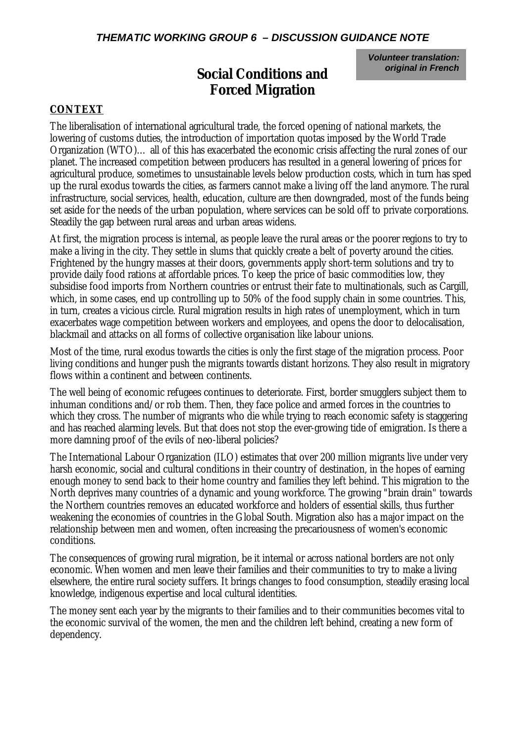## *THEMATIC WORKING GROUP 6 – DISCUSSION GUIDANCE NOTE*

*Volunteer translation: original in French*

# **Social Conditions and Forced Migration**

## **CONTEXT**

The liberalisation of international agricultural trade, the forced opening of national markets, the lowering of customs duties, the introduction of importation quotas imposed by the World Trade Organization (WTO)… all of this has exacerbated the economic crisis affecting the rural zones of our planet. The increased competition between producers has resulted in a general lowering of prices for agricultural produce, sometimes to unsustainable levels below production costs, which in turn has sped up the rural exodus towards the cities, as farmers cannot make a living off the land anymore. The rural infrastructure, social services, health, education, culture are then downgraded, most of the funds being set aside for the needs of the urban population, where services can be sold off to private corporations. Steadily the gap between rural areas and urban areas widens.

At first, the migration process is internal, as people leave the rural areas or the poorer regions to try to make a living in the city. They settle in slums that quickly create a belt of poverty around the cities. Frightened by the hungry masses at their doors, governments apply short-term solutions and try to provide daily food rations at affordable prices. To keep the price of basic commodities low, they subsidise food imports from Northern countries or entrust their fate to multinationals, such as Cargill, which, in some cases, end up controlling up to 50% of the food supply chain in some countries. This, in turn, creates a vicious circle. Rural migration results in high rates of unemployment, which in turn exacerbates wage competition between workers and employees, and opens the door to delocalisation, blackmail and attacks on all forms of collective organisation like labour unions.

Most of the time, rural exodus towards the cities is only the first stage of the migration process. Poor living conditions and hunger push the migrants towards distant horizons. They also result in migratory flows within a continent and between continents.

The well being of economic refugees continues to deteriorate. First, border smugglers subject them to inhuman conditions and/or rob them. Then, they face police and armed forces in the countries to which they cross. The number of migrants who die while trying to reach economic safety is staggering and has reached alarming levels. But that does not stop the ever-growing tide of emigration. Is there a more damning proof of the evils of neo-liberal policies?

The International Labour Organization (ILO) estimates that over 200 million migrants live under very harsh economic, social and cultural conditions in their country of destination, in the hopes of earning enough money to send back to their home country and families they left behind. This migration to the North deprives many countries of a dynamic and young workforce. The growing "brain drain" towards the Northern countries removes an educated workforce and holders of essential skills, thus further weakening the economies of countries in the Global South. Migration also has a major impact on the relationship between men and women, often increasing the precariousness of women's economic conditions.

The consequences of growing rural migration, be it internal or across national borders are not only economic. When women and men leave their families and their communities to try to make a living elsewhere, the entire rural society suffers. It brings changes to food consumption, steadily erasing local knowledge, indigenous expertise and local cultural identities.

The money sent each year by the migrants to their families and to their communities becomes vital to the economic survival of the women, the men and the children left behind, creating a new form of dependency.